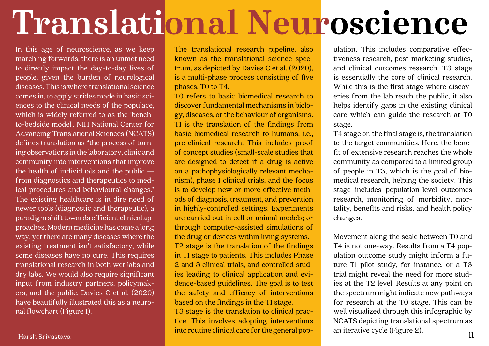In this age of neuroscience, as we keep marching forwards, there is an unmet need to directly impact the day-to-day lives of people, given the burden of neurological diseases. This is where translational science comes in, to apply strides made in basic sciences to the clinical needs of the populace, which is widely referred to as the 'benchto-bedside model'. NIH National Center for Advancing Translational Sciences (NCATS) defines translation as "the process of turning observations in the laboratory, clinic and community into interventions that improve the health of individuals and the public from diagnostics and therapeutics to medical procedures and behavioural changes." The existing healthcare is in dire need of newer tools (diagnostic and therapeutic), a paradigm shift towards efficient clinical approaches. Modern medicine has come a long way, yet there are many diseases where the existing treatment isn't satisfactory, while some diseases have no cure. This requires translational research in both wet labs and dry labs. We would also require significant input from industry partners, policymakers, and the public. Davies C et al. (2020) have beautifully illustrated this as a neuronal flowchart (Figure 1).

T0 refers to basic biomedical research to discover fundamental mechanisms in biology, diseases, or the behaviour of organisms. T1 is the translation of the findings from basic biomedical research to humans, i.e., pre-clinical research. This includes proof of concept studies (small-scale studies that are designed to detect if a drug is active on a pathophysiologically relevant mechanism), phase 1 clinical trials, and the focus is to develop new or more effective methods of diagnosis, treatment, and prevention in highly-controlled settings. Experiments are carried out in cell or animal models; or through computer-assisted simulations of the drug or devices within living systems. T2 stage is the translation of the findings in T1 stage to patients. This includes Phase 2 and 3 clinical trials, and controlled studies leading to clinical application and evidence-based guidelines. The goal is to test the safety and efficacy of interventions based on the findings in the T1 stage. T3 stage is the translation to clinical practice. This involves adopting interventions into routine clinical care for the general pop--Harsh Srivastava **11** Hub i buttle currical cale for the general pop-different vector (Figure 2).

The translational research pipeline, also known as the translational science spectrum, as depicted by Davies C et al. (2020), is a multi-phase process consisting of five phases, T0 to T4.

ulation. This includes comparative effectiveness research, post-marketing studies, and clinical outcomes research. T3 stage is essentially the core of clinical research. While this is the first stage where discoveries from the lab reach the public, it also helps identify gaps in the existing clinical care which can guide the research at T0 stage.

T4 stage or, the final stage is, the translation to the target communities. Here, the benefit of extensive research reaches the whole community as compared to a limited group of people in T3, which is the goal of biomedical research, helping the society. This stage includes population-level outcomes research, monitoring of morbidity, mortality, benefits and risks, and health policy changes.

Movement along the scale between T0 and T4 is not one-way. Results from a T4 population outcome study might inform a future T1 pilot study, for instance, or a T3 trial might reveal the need for more studies at the T2 level. Results at any point on the spectrum might indicate new pathways for research at the T0 stage. This can be well visualized through this infographic by NCATS depicting translational spectrum as an iterative cycle (Figure 2).

## **Translational Neuroscience**